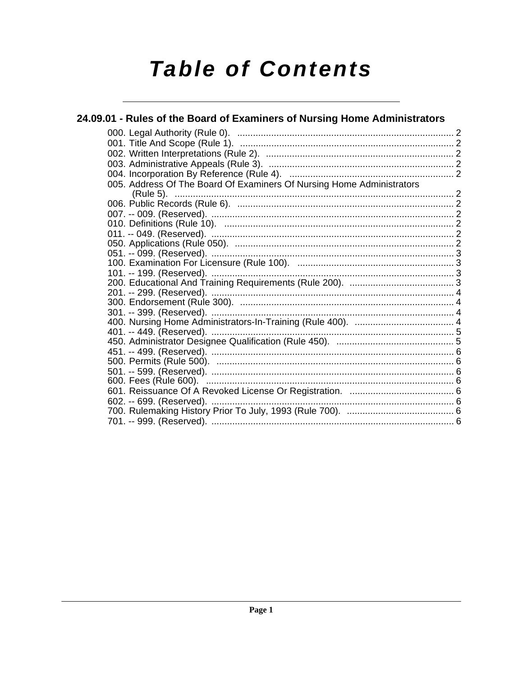# **Table of Contents**

| 24.09.01 - Rules of the Board of Examiners of Nursing Home Administrators |  |
|---------------------------------------------------------------------------|--|
|                                                                           |  |
|                                                                           |  |
|                                                                           |  |
|                                                                           |  |
|                                                                           |  |
| 005. Address Of The Board Of Examiners Of Nursing Home Administrators     |  |
|                                                                           |  |
|                                                                           |  |
|                                                                           |  |
|                                                                           |  |
|                                                                           |  |
|                                                                           |  |
|                                                                           |  |
|                                                                           |  |
|                                                                           |  |
|                                                                           |  |
|                                                                           |  |
|                                                                           |  |
|                                                                           |  |
|                                                                           |  |
|                                                                           |  |
|                                                                           |  |
|                                                                           |  |
|                                                                           |  |
|                                                                           |  |
|                                                                           |  |
| 602. -- 699. (Reserved).                                                  |  |
|                                                                           |  |
|                                                                           |  |
|                                                                           |  |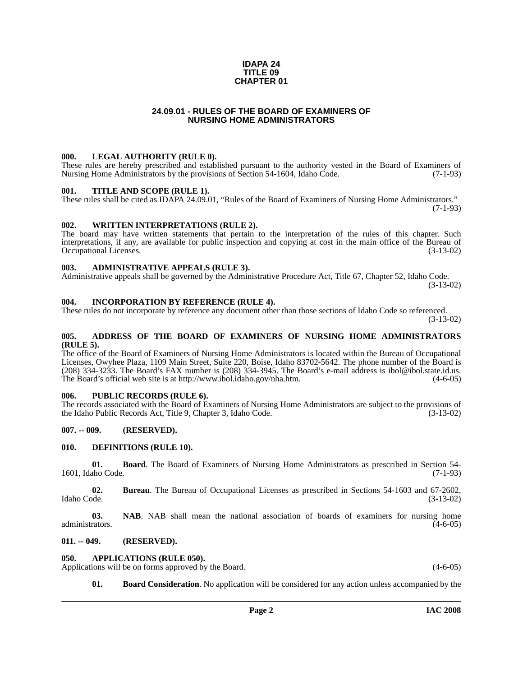#### **IDAPA 24 TITLE 09 CHAPTER 01**

#### **24.09.01 - RULES OF THE BOARD OF EXAMINERS OF NURSING HOME ADMINISTRATORS**

#### <span id="page-1-1"></span><span id="page-1-0"></span>**000. LEGAL AUTHORITY (RULE 0).**

These rules are hereby prescribed and established pursuant to the authority vested in the Board of Examiners of Nursing Home Administrators by the provisions of Section 54-1604, Idaho Code. (7-1-93)

#### <span id="page-1-2"></span>**001. TITLE AND SCOPE (RULE 1).**

These rules shall be cited as IDAPA 24.09.01, "Rules of the Board of Examiners of Nursing Home Administrators." (7-1-93)

#### <span id="page-1-3"></span>**002. WRITTEN INTERPRETATIONS (RULE 2).**

The board may have written statements that pertain to the interpretation of the rules of this chapter. Such interpretations, if any, are available for public inspection and copying at cost in the main office of the Bureau of Occupational Licenses. (3-13-02)

#### <span id="page-1-4"></span>**003. ADMINISTRATIVE APPEALS (RULE 3).**

Administrative appeals shall be governed by the Administrative Procedure Act, Title 67, Chapter 52, Idaho Code.

(3-13-02)

#### <span id="page-1-5"></span>**004. INCORPORATION BY REFERENCE (RULE 4).**

These rules do not incorporate by reference any document other than those sections of Idaho Code so referenced. (3-13-02)

#### <span id="page-1-6"></span>**005. ADDRESS OF THE BOARD OF EXAMINERS OF NURSING HOME ADMINISTRATORS (RULE 5).**

[The office of the Board of Examiners of Nursing Home Administrators is located within the Bureau of Occupational](mailto:ibol@ibol.idaho.gov)  Licenses, Owyhee Plaza, 1109 Main Street, Suite 220, Boise, Idaho 83702-5642. The phone number of the Board is (208) 334-3233. The Board's FAX number is (208) 334-3945. The Board's e-mail address is ibol@ibol.state.id.us. [The Board's official web site is at](mailto:ibol@ibol.idaho.gov) [http://www.ibol.idaho.gov/nha.htm. \(4-6-05\)](http://www.ibol.idaho.gov/nha.htm)

#### <span id="page-1-7"></span>**006. PUBLIC RECORDS (RULE 6).**

The records associated with the Board of Examiners of Nursing Home Administrators are subject to the provisions of the Idaho Public Records Act, Title 9, Chapter 3, Idaho Code. (3-13-02) the Idaho Public Records Act, Title 9, Chapter 3, Idaho Code.

#### <span id="page-1-8"></span>**007. -- 009. (RESERVED).**

#### <span id="page-1-14"></span><span id="page-1-9"></span>**010. DEFINITIONS (RULE 10).**

**01. Board**. The Board of Examiners of Nursing Home Administrators as prescribed in Section 54- 1601, Idaho Code. (7-1-93)

**02.** Bureau. The Bureau of Occupational Licenses as prescribed in Sections 54-1603 and 67-2602, Idaho Code. (3-13-02) Idaho Code. (3-13-02)

**03. NAB**. NAB shall mean the national association of boards of examiners for nursing home administrators. (4-6-05)

#### <span id="page-1-10"></span>**011. -- 049. (RESERVED).**

#### <span id="page-1-12"></span><span id="page-1-11"></span>**050. APPLICATIONS (RULE 050).**

Applications will be on forms approved by the Board. (4-6-05) (4-6-05)

<span id="page-1-13"></span>**01. Board Consideration**. No application will be considered for any action unless accompanied by the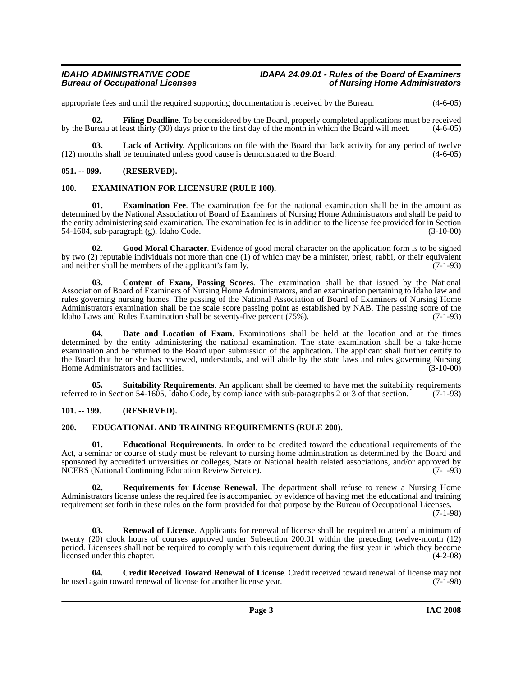### *Bureau of Occupational Licenses*

appropriate fees and until the required supporting documentation is received by the Bureau. (4-6-05)

<span id="page-2-10"></span>**02. Filing Deadline**. To be considered by the Board, properly completed applications must be received by the Bureau at least thirty (30) days prior to the first day of the month in which the Board will meet. (4-6-05)

<span id="page-2-12"></span>**03.** Lack of Activity. Applications on file with the Board that lack activity for any period of twelve the shall be terminated unless good cause is demonstrated to the Board. (4-6-05)  $(12)$  months shall be terminated unless good cause is demonstrated to the Board.

#### <span id="page-2-0"></span>**051. -- 099. (RESERVED).**

#### <span id="page-2-9"></span><span id="page-2-1"></span>**100. EXAMINATION FOR LICENSURE (RULE 100).**

**01. Examination Fee**. The examination fee for the national examination shall be in the amount as determined by the National Association of Board of Examiners of Nursing Home Administrators and shall be paid to the entity administering said examination. The examination fee is in addition to the license fee provided for in Section 54-1604, sub-paragraph (g), Idaho Code. (3-10-00)

<span id="page-2-11"></span>**02. Good Moral Character**. Evidence of good moral character on the application form is to be signed by two (2) reputable individuals not more than one (1) of which may be a minister, priest, rabbi, or their equivalent and neither shall be members of the applicant's family. (7-1-93)

<span id="page-2-4"></span>**03. Content of Exam, Passing Scores**. The examination shall be that issued by the National Association of Board of Examiners of Nursing Home Administrators, and an examination pertaining to Idaho law and rules governing nursing homes. The passing of the National Association of Board of Examiners of Nursing Home Administrators examination shall be the scale score passing point as established by NAB. The passing score of the Idaho Laws and Rules Examination shall be seventy-five percent (75%). (7-1-93) Idaho Laws and Rules Examination shall be seventy-five percent  $(75%)$ .

<span id="page-2-6"></span>**Date and Location of Exam**. Examinations shall be held at the location and at the times determined by the entity administering the national examination. The state examination shall be a take-home examination and be returned to the Board upon submission of the application. The applicant shall further certify to the Board that he or she has reviewed, understands, and will abide by the state laws and rules governing Nursing<br>Home Administrators and facilities. (3-10-00) Home Administrators and facilities.

<span id="page-2-15"></span>**05.** Suitability Requirements. An applicant shall be deemed to have met the suitability requirements to in Section 54-1605. Idaho Code, by compliance with sub-paragraphs 2 or 3 of that section. (7-1-93) referred to in Section 54-1605, Idaho Code, by compliance with sub-paragraphs 2 or 3 of that section.

#### <span id="page-2-2"></span>**101. -- 199. (RESERVED).**

#### <span id="page-2-7"></span><span id="page-2-3"></span>**200. EDUCATIONAL AND TRAINING REQUIREMENTS (RULE 200).**

<span id="page-2-8"></span>**01. Educational Requirements**. In order to be credited toward the educational requirements of the Act, a seminar or course of study must be relevant to nursing home administration as determined by the Board and sponsored by accredited universities or colleges, State or National health related associations, and/or approved by NCERS (National Continuing Education Review Service). (7-1-93) NCERS (National Continuing Education Review Service).

<span id="page-2-14"></span>**02. Requirements for License Renewal**. The department shall refuse to renew a Nursing Home Administrators license unless the required fee is accompanied by evidence of having met the educational and training requirement set forth in these rules on the form provided for that purpose by the Bureau of Occupational Licenses.

(7-1-98)

<span id="page-2-13"></span>**03. Renewal of License**. Applicants for renewal of license shall be required to attend a minimum of twenty (20) clock hours of courses approved under Subsection 200.01 within the preceding twelve-month (12) period. Licensees shall not be required to comply with this requirement during the first year in which they become licensed under this chapter. (4-2-08)

<span id="page-2-5"></span>**04. Credit Received Toward Renewal of License**. Credit received toward renewal of license may not be used again toward renewal of license for another license year. (7-1-98)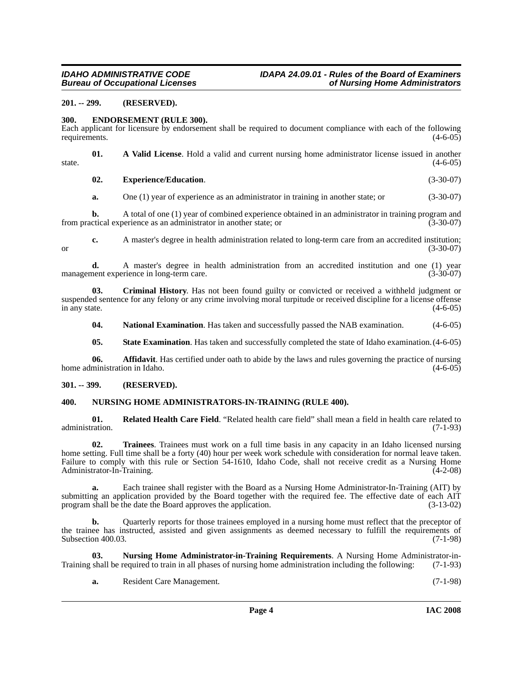### *Bureau of Occupational Licenses*

#### <span id="page-3-0"></span>**201. -- 299. (RESERVED).**

#### <span id="page-3-4"></span><span id="page-3-1"></span>**300. ENDORSEMENT (RULE 300).**

Each applicant for licensure by endorsement shall be required to document compliance with each of the following requirements.  $(4-6-05)$ 

**01. A Valid License**. Hold a valid and current nursing home administrator license issued in another state.  $(4-6-05)$ 

**02. Experience/Education**. (3-30-07)

**a.** One (1) year of experience as an administrator in training in another state; or (3-30-07)

**b.** A total of one (1) year of combined experience obtained in an administrator in training program and from practical experience as an administrator in another state; or (3-30-07)

**c.** A master's degree in health administration related to long-term care from an accredited institution; or  $(3-30-07)$ 

**d.** A master's degree in health administration from an accredited institution and one (1) year management experience in long-term care. (3-30-07)

**03. Criminal History**. Has not been found guilty or convicted or received a withheld judgment or suspended sentence for any felony or any crime involving moral turpitude or received discipline for a license offense in any state.  $(4-6-05)$ 

**04.** National Examination. Has taken and successfully passed the NAB examination. (4-6-05)

**05. State Examination**. Has taken and successfully completed the state of Idaho examination.(4-6-05)

**06. Affidavit**. Has certified under oath to abide by the laws and rules governing the practice of nursing home administration in Idaho. (4-6-05)

#### <span id="page-3-2"></span>**301. -- 399. (RESERVED).**

#### <span id="page-3-6"></span><span id="page-3-3"></span>**400. NURSING HOME ADMINISTRATORS-IN-TRAINING (RULE 400).**

<span id="page-3-7"></span>**01. Related Health Care Field**. "Related health care field" shall mean a field in health care related to administration. (7-1-93)

<span id="page-3-8"></span>**02. Trainees**. Trainees must work on a full time basis in any capacity in an Idaho licensed nursing home setting. Full time shall be a forty (40) hour per week work schedule with consideration for normal leave taken. Failure to comply with this rule or Section 54-1610, Idaho Code, shall not receive credit as a Nursing Home Administrator-In-Training. (4-2-08)

**a.** Each trainee shall register with the Board as a Nursing Home Administrator-In-Training (AIT) by submitting an application provided by the Board together with the required fee. The effective date of each AIT program shall be the date the Board approves the application. (3-13-02)

**b.** Quarterly reports for those trainees employed in a nursing home must reflect that the preceptor of the trainee has instructed, assisted and given assignments as deemed necessary to fulfill the requirements of Subsection 400.03. (7-1-98)

**03.** Nursing Home Administrator-in-Training Requirements. A Nursing Home Administrator-in-<br>shall be required to train in all phases of nursing home administration including the following: (7-1-93) Training shall be required to train in all phases of nursing home administration including the following:

<span id="page-3-5"></span>**a.** Resident Care Management. (7-1-98)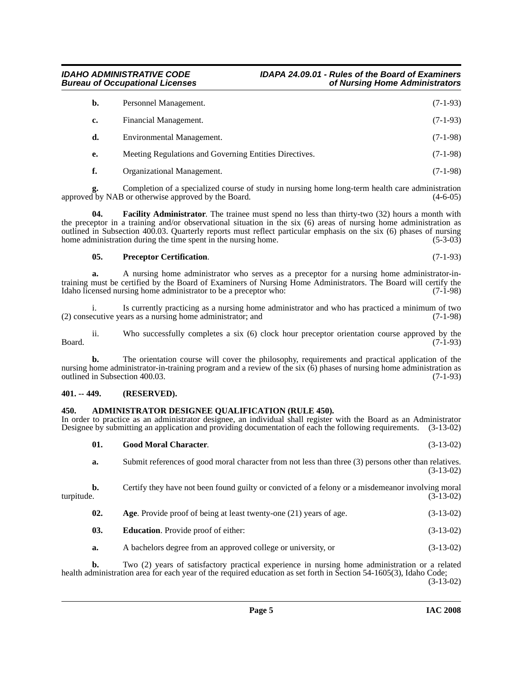#### *IDAHO ADMINISTRATIVE CODE IDAPA 24.09.01 - Rules of the Board of Examiners Bureau of Occupational Licenses*

### **b.** Personnel Management. (7-1-93) **c.** Financial Management. (7-1-93) **d.** Environmental Management. (7-1-98) **e.** Meeting Regulations and Governing Entities Directives. (7-1-98)

<span id="page-4-5"></span>**f.** Organizational Management. (7-1-98)

**g.** Completion of a specialized course of study in nursing home long-term health care administration approved by NAB or otherwise approved by the Board. (4-6-05)

**04. Facility Administrator**. The trainee must spend no less than thirty-two (32) hours a month with the preceptor in a training and/or observational situation in the six (6) areas of nursing home administration as outlined in Subsection 400.03. Quarterly reports must reflect particular emphasis on the six (6) phases of nursing home administration during the time spent in the nursing home. (5-3-03) home administration during the time spent in the nursing home.

#### <span id="page-4-7"></span>**05.** Preceptor Certification.

**a.** A nursing home administrator who serves as a preceptor for a nursing home administrator-intraining must be certified by the Board of Examiners of Nursing Home Administrators. The Board will certify the Idaho licensed nursing home administrator to be a preceptor who: (7-1-98) Idaho licensed nursing home administrator to be a preceptor who:

i. Is currently practicing as a nursing home administrator and who has practiced a minimum of two ecutive vears as a nursing home administrator: and (7-1-98)  $(2)$  consecutive years as a nursing home administrator; and

ii. Who successfully completes a six (6) clock hour preceptor orientation course approved by the  $Board.$  (7-1-93)

**b.** The orientation course will cover the philosophy, requirements and practical application of the nursing home administrator-in-training program and a review of the six (6) phases of nursing home administration as outlined in Subsection 400.03. (7-1-93)

#### <span id="page-4-0"></span>**401. -- 449. (RESERVED).**

#### <span id="page-4-2"></span><span id="page-4-1"></span>**450. ADMINISTRATOR DESIGNEE QUALIFICATION (RULE 450).**

In order to practice as an administrator designee, an individual shall register with the Board as an Administrator Designee by submitting an application and providing documentation of each the following requirements. (3-13-02)

<span id="page-4-6"></span>**01. Good Moral Character**. (3-13-02) **a.** Submit references of good moral character from not less than three (3) persons other than relatives. (3-13-02)

**b.** Certify they have not been found guilty or convicted of a felony or a misdemeanor involving moral turpitude. (3-13-02)

- <span id="page-4-3"></span>**02.** Age. Provide proof of being at least twenty-one (21) years of age.  $(3-13-02)$
- <span id="page-4-4"></span>**03. Education**. Provide proof of either: (3-13-02)
- **a.** A bachelors degree from an approved college or university, or (3-13-02)

**b.** Two (2) years of satisfactory practical experience in nursing home administration or a related health administration area for each year of the required education as set forth in Section 54-1605(3), Idaho Code; (3-13-02)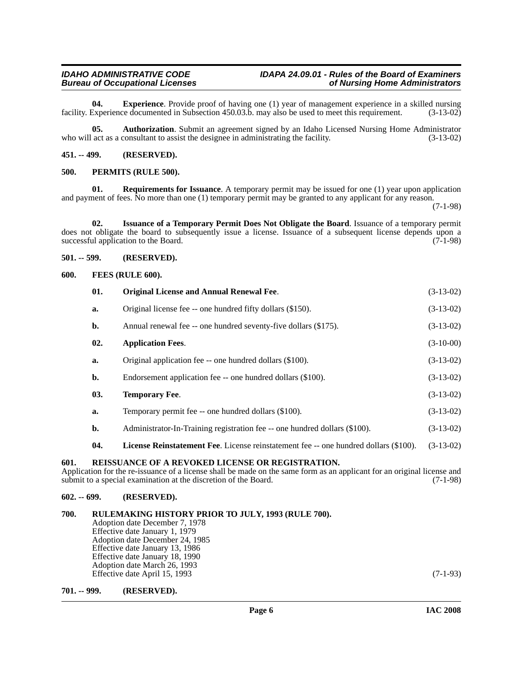### *Bureau of Occupational Licenses*

<span id="page-5-10"></span>**04. Experience**. Provide proof of having one (1) year of management experience in a skilled nursing facility. Experience documented in Subsection 450.03.b. may also be used to meet this requirement. (3-13-02)

<span id="page-5-9"></span>**05. Authorization**. Submit an agreement signed by an Idaho Licensed Nursing Home Administrator who will act as a consultant to assist the designee in administrating the facility. (3-13-02)

<span id="page-5-0"></span>**451. -- 499. (RESERVED).**

#### <span id="page-5-14"></span><span id="page-5-1"></span>**500. PERMITS (RULE 500).**

<span id="page-5-16"></span>**01. Requirements for Issuance**. A temporary permit may be issued for one (1) year upon application and payment of fees. No more than one (1) temporary permit may be granted to any applicant for any reason.

(7-1-98)

<span id="page-5-12"></span>**02. Issuance of a Temporary Permit Does Not Obligate the Board**. Issuance of a temporary permit does not obligate the board to subsequently issue a license. Issuance of a subsequent license depends upon a successful application to the Board. (7-1-98)

#### <span id="page-5-2"></span>**501. -- 599. (RESERVED).**

#### <span id="page-5-11"></span><span id="page-5-3"></span>**600. FEES (RULE 600).**

<span id="page-5-17"></span><span id="page-5-13"></span><span id="page-5-8"></span>

|                                                                                                                                                                                                                                                                             | 01. | <b>Original License and Annual Renewal Fee.</b>                                             | $(3-13-02)$ |  |
|-----------------------------------------------------------------------------------------------------------------------------------------------------------------------------------------------------------------------------------------------------------------------------|-----|---------------------------------------------------------------------------------------------|-------------|--|
|                                                                                                                                                                                                                                                                             | a.  | Original license fee -- one hundred fifty dollars (\$150).                                  | $(3-13-02)$ |  |
|                                                                                                                                                                                                                                                                             | b.  | Annual renewal fee -- one hundred seventy-five dollars (\$175).                             | $(3-13-02)$ |  |
|                                                                                                                                                                                                                                                                             | 02. | <b>Application Fees.</b>                                                                    | $(3-10-00)$ |  |
|                                                                                                                                                                                                                                                                             | a.  | Original application fee -- one hundred dollars (\$100).                                    | $(3-13-02)$ |  |
|                                                                                                                                                                                                                                                                             | b.  | Endorsement application fee -- one hundred dollars (\$100).                                 | $(3-13-02)$ |  |
|                                                                                                                                                                                                                                                                             | 03. | <b>Temporary Fee.</b>                                                                       | $(3-13-02)$ |  |
|                                                                                                                                                                                                                                                                             | a.  | Temporary permit fee -- one hundred dollars (\$100).                                        | $(3-13-02)$ |  |
|                                                                                                                                                                                                                                                                             | b.  | Administrator-In-Training registration fee -- one hundred dollars (\$100).                  | $(3-13-02)$ |  |
|                                                                                                                                                                                                                                                                             | 04. | <b>License Reinstatement Fee.</b> License reinstatement fee -- one hundred dollars (\$100). | $(3-13-02)$ |  |
| <b>REISSUANCE OF A REVOKED LICENSE OR REGISTRATION.</b><br>601.<br>Application for the re-issuance of a license shall be made on the same form as an applicant for an original license and<br>submit to a special examination at the discretion of the Board.<br>$(7-1-98)$ |     |                                                                                             |             |  |
| $602. - 699.$                                                                                                                                                                                                                                                               |     | (RESERVED).                                                                                 |             |  |

### <span id="page-5-15"></span><span id="page-5-6"></span><span id="page-5-5"></span><span id="page-5-4"></span>**700. RULEMAKING HISTORY PRIOR TO JULY, 1993 (RULE 700).**

Adoption date December 7, 1978 Effective date January 1, 1979 Adoption date December 24, 1985 Effective date January 13, 1986 Effective date January 18, 1990 Adoption date March 26, 1993 Effective date April 15, 1993 (7-1-93)

<span id="page-5-7"></span>**701. -- 999. (RESERVED).**